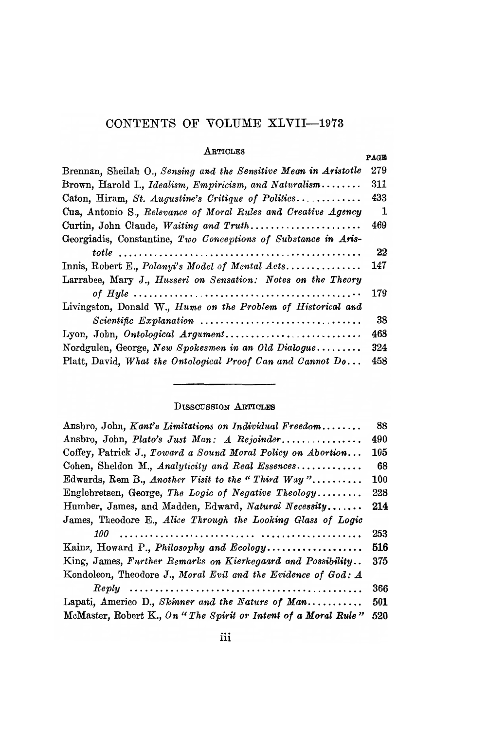# CONTENTS OF VOLUME XLVII-1973

### **ARTICLES**

#### PAGE 279 Brennan, Sheilah O., Sensing and the Sensitive Mean in Aristotle 311 Brown, Harold I., Idealism, Empiricism, and Naturalism........ Caton, Hiram, St. Augustine's Critique of Politics............ 433 Cua, Antonio S., Relevance of Moral Rules and Creative Agency 1 469 Curtin, John Claude, Waiting and Truth...................... Georgiadis, Constantine, Two Conceptions of Substance in Aris-22 Innis, Robert E., Polanyi's Model of Mental Acts.............. 147 Larrabee, Mary J., Husserl on Sensation: Notes on the Theory 179 Livingston, Donald W., Hume on the Problem of Historical and  $Scientific$  Explanation ................................. 38 468 Lyon, John, Ontological Argument............................ Nordgulen, George, New Spokesmen in an Old Dialogue........ 324 Platt, David, What the Ontological Proof Can and Cannot Do... 458

### **DISSOUSSION ARTICLES**

| Ansbro, John, Kant's Limitations on Individual Freedom         | 88  |
|----------------------------------------------------------------|-----|
| Ansbro, John, Plato's Just Man: A Rejoinder                    | 490 |
| Coffey, Patrick J., Toward a Sound Moral Policy on Abortion    | 105 |
| Cohen, Sheldon M., Analyticity and Real Essences               | 68  |
| Edwards, Rem B., Another Visit to the "Third Way"              | 100 |
| Englebretsen, George, The Logic of Negative Theology           | 228 |
| Humber, James, and Madden, Edward, Natural Necessity           | 214 |
| James, Theodore E., Alice Through the Looking Glass of Logic   |     |
|                                                                | 253 |
| Kainz, Howard P., Philosophy and Ecology                       | 516 |
| King, James, Further Remarks on Kierkegaard and Possibility    | 375 |
| Kondoleon, Theodore J., Moral Evil and the Evidence of God: A  |     |
|                                                                | 366 |
| Lapati, Americo D., Skinner and the Nature of Man              | 501 |
| McMaster, Robert K., On "The Spirit or Intent of a Moral Rule" | 520 |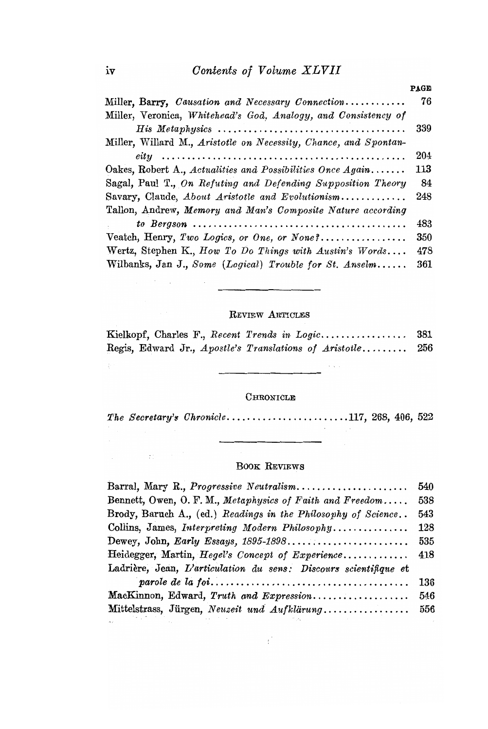|                                                                  | <b>PAGE</b> |
|------------------------------------------------------------------|-------------|
| Miller, Barry, Causation and Necessary Connection                | 76          |
| Miller, Veronica, Whitehead's God, Analogy, and Consistency of   |             |
|                                                                  | 339         |
| Miller, Willard M., Aristotle on Necessity, Chance, and Spontan- |             |
|                                                                  | 204         |
| Oakes, Robert A., Actualities and Possibilities Once Again       | 113         |
| Sagal, Paul T., On Refuting and Defending Supposition Theory     | 84          |
| Savary, Claude, About Aristotle and Evolutionism                 | 248         |
| Tallon, Andrew, Memory and Man's Composite Nature according      |             |
|                                                                  | 483         |
|                                                                  | 350         |
| Wertz, Stephen K., How To Do Things with Austin's Words          | 478         |
| Wilbanks, Jan J., Some (Logical) Trouble for St. Anselm          | 361         |

## REVIEW ARTICLES

|  |  | Kielkopf, Charles F., <i>Recent Trends in Logic</i>    | 381 |
|--|--|--------------------------------------------------------|-----|
|  |  | Regis, Edward Jr., Apostle's Translations of Aristotle | 256 |

 $\sim$   $\sim$ 

 $\ddot{\phantom{a}}$ 

## $C$ HRONICLE

The Secretary's Chronicle......................117, 268, 406, 522

## BOOK REVIEWS

| Barral, Mary R., <i>Progressive Neutralism.</i>                  | 540 |  |
|------------------------------------------------------------------|-----|--|
| Bennett, Owen, O. F. M., Metaphysics of Faith and Freedom        | 538 |  |
| Brody, Baruch A., (ed.) Readings in the Philosophy of Science    | 543 |  |
| Collins, James, Interpreting Modern Philosophy                   | 128 |  |
|                                                                  | 535 |  |
| Heidegger, Martin, <i>Hegel's Concept of Experience</i> 418      |     |  |
| Ladrière, Jean, L'articulation du sens: Discours scientifique et |     |  |
|                                                                  | 136 |  |
| MacKinnon, Edward, Truth and Expression                          | 546 |  |
| Mittelstrass, Jürgen, Neuzeit und Aufklärung                     | 556 |  |

 $\mathbf{r}^{\prime}$ 

 $\sim 10^{11}$  and  $\sim 10^{11}$